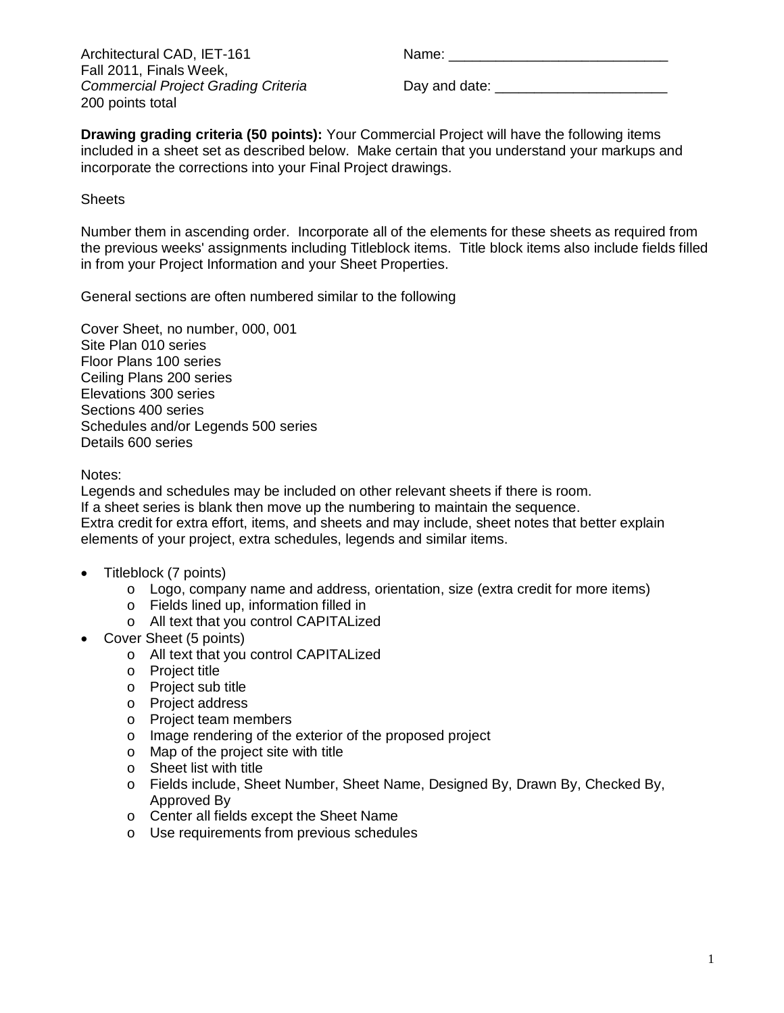Architectural CAD, IET-161 Name: \_\_\_\_\_\_\_\_\_\_\_\_\_\_\_\_\_\_\_\_\_\_\_\_\_\_\_\_ Fall 2011, Finals Week, 200 points total

*Commercial Project Grading Criteria* Day and date: \_\_\_\_\_\_\_\_\_\_\_\_\_\_\_\_\_\_\_\_\_\_

**Drawing grading criteria (50 points):** Your Commercial Project will have the following items included in a sheet set as described below. Make certain that you understand your markups and incorporate the corrections into your Final Project drawings.

## **Sheets**

Number them in ascending order. Incorporate all of the elements for these sheets as required from the previous weeks' assignments including Titleblock items. Title block items also include fields filled in from your Project Information and your Sheet Properties.

General sections are often numbered similar to the following

Cover Sheet, no number, 000, 001 Site Plan 010 series Floor Plans 100 series Ceiling Plans 200 series Elevations 300 series Sections 400 series Schedules and/or Legends 500 series Details 600 series

Notes:

Legends and schedules may be included on other relevant sheets if there is room. If a sheet series is blank then move up the numbering to maintain the sequence. Extra credit for extra effort, items, and sheets and may include, sheet notes that better explain elements of your project, extra schedules, legends and similar items.

- Titleblock (7 points)
	- $\circ$  Logo, company name and address, orientation, size (extra credit for more items)
	- o Fields lined up, information filled in
	- o All text that you control CAPITALized
	- Cover Sheet (5 points)
		- o All text that you control CAPITALized
		- o Project title
		- o Project sub title
		- o Project address
		- o Project team members
		- o Image rendering of the exterior of the proposed project
		- o Map of the project site with title
		- o Sheet list with title
		- o Fields include, Sheet Number, Sheet Name, Designed By, Drawn By, Checked By, Approved By
		- o Center all fields except the Sheet Name
		- o Use requirements from previous schedules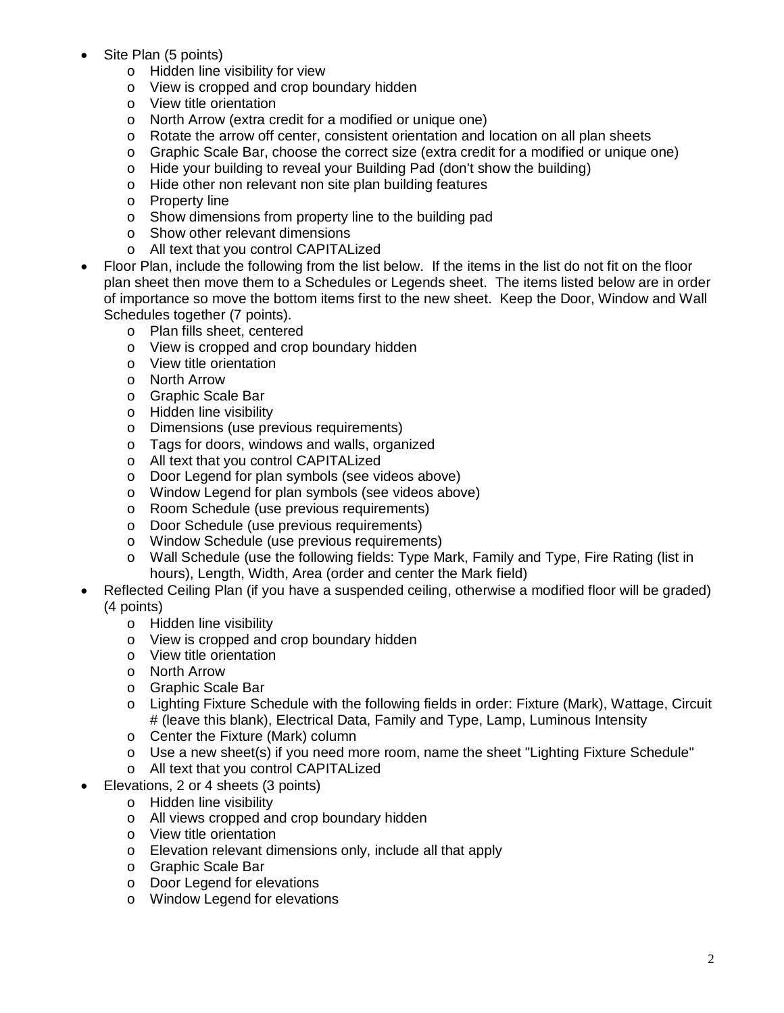- Site Plan (5 points)
	- o Hidden line visibility for view
	- o View is cropped and crop boundary hidden
	- o View title orientation
	- o North Arrow (extra credit for a modified or unique one)
	- o Rotate the arrow off center, consistent orientation and location on all plan sheets
	- o Graphic Scale Bar, choose the correct size (extra credit for a modified or unique one)
	- o Hide your building to reveal your Building Pad (don't show the building)
	- o Hide other non relevant non site plan building features
	- o Property line
	- o Show dimensions from property line to the building pad
	- o Show other relevant dimensions
	- o All text that you control CAPITALized
- Floor Plan, include the following from the list below. If the items in the list do not fit on the floor plan sheet then move them to a Schedules or Legends sheet. The items listed below are in order of importance so move the bottom items first to the new sheet. Keep the Door, Window and Wall Schedules together (7 points).
	- o Plan fills sheet, centered
	- o View is cropped and crop boundary hidden
	- o View title orientation
	- o North Arrow
	- o Graphic Scale Bar
	- o Hidden line visibility
	- o Dimensions (use previous requirements)
	- o Tags for doors, windows and walls, organized
	- o All text that you control CAPITALized
	- o Door Legend for plan symbols (see videos above)
	- o Window Legend for plan symbols (see videos above)
	- o Room Schedule (use previous requirements)
	- o Door Schedule (use previous requirements)
	- o Window Schedule (use previous requirements)
	- o Wall Schedule (use the following fields: Type Mark, Family and Type, Fire Rating (list in hours), Length, Width, Area (order and center the Mark field)
- Reflected Ceiling Plan (if you have a suspended ceiling, otherwise a modified floor will be graded) (4 points)
	- o Hidden line visibility
	- o View is cropped and crop boundary hidden
	- o View title orientation
	- o North Arrow
	- o Graphic Scale Bar
	- o Lighting Fixture Schedule with the following fields in order: Fixture (Mark), Wattage, Circuit # (leave this blank), Electrical Data, Family and Type, Lamp, Luminous Intensity
	- o Center the Fixture (Mark) column
	- $\circ$  Use a new sheet(s) if you need more room, name the sheet "Lighting Fixture Schedule"
	- o All text that you control CAPITALized
- Elevations, 2 or 4 sheets (3 points)
	- o Hidden line visibility
	- o All views cropped and crop boundary hidden
	- o View title orientation
	- o Elevation relevant dimensions only, include all that apply
	- o Graphic Scale Bar
	- o Door Legend for elevations
	- o Window Legend for elevations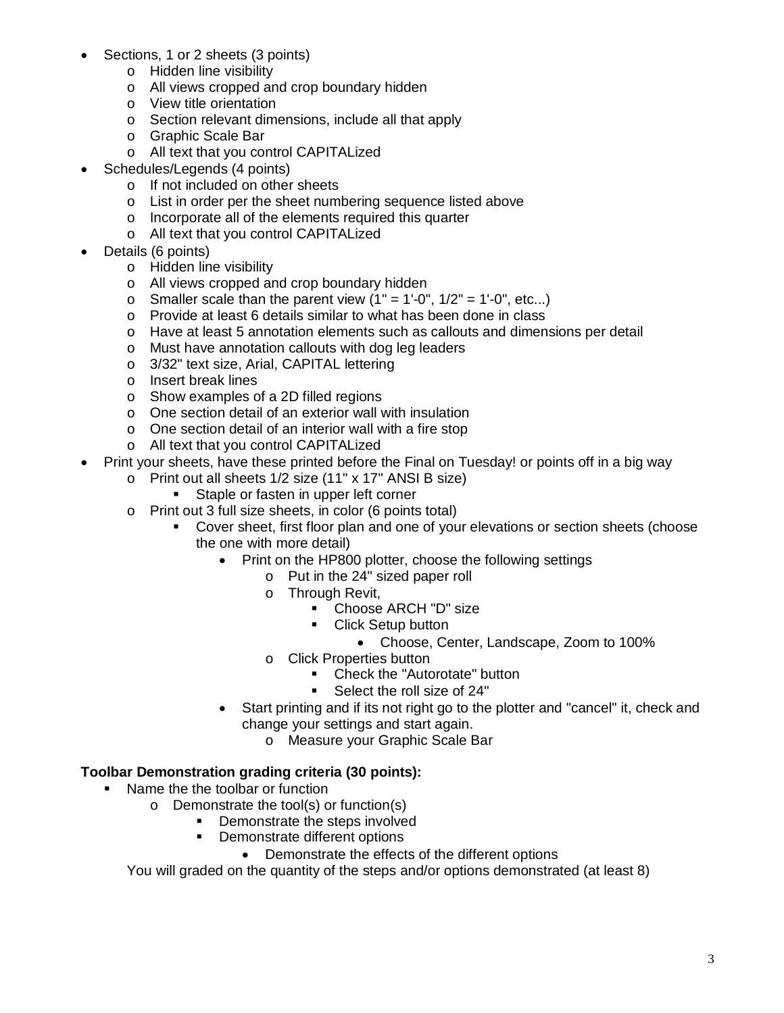- Sections, 1 or 2 sheets (3 points)
	- o Hidden line visibility
	- o All views cropped and crop boundary hidden
	- o View title orientation
	- o Section relevant dimensions, include all that apply
	- o Graphic Scale Bar
	- o All text that you control CAPITALized
- Schedules/Legends (4 points)
	- o If not included on other sheets
	- o List in order per the sheet numbering sequence listed above
	- o Incorporate all of the elements required this quarter
	- o All text that you control CAPITALized
- Details (6 points)
	- o Hidden line visibility
	- o All views cropped and crop boundary hidden
	- $\circ$  Smaller scale than the parent view (1" = 1'-0", 1/2" = 1'-0", etc...)
	- o Provide at least 6 details similar to what has been done in class
	- o Have at least 5 annotation elements such as callouts and dimensions per detail
	- o Must have annotation callouts with dog leg leaders
	- o 3/32" text size, Arial, CAPITAL lettering
	- o Insert break lines
	- o Show examples of a 2D filled regions
	- o One section detail of an exterior wall with insulation
	- o One section detail of an interior wall with a fire stop
	- o All text that you control CAPITALized
- Print your sheets, have these printed before the Final on Tuesday! or points off in a big way
	- o Print out all sheets 1/2 size (11" x 17" ANSI B size)
		- Staple or fasten in upper left corner
	- o Print out 3 full size sheets, in color (6 points total)
		- Cover sheet, first floor plan and one of your elevations or section sheets (choose the one with more detail)
			- Print on the HP800 plotter, choose the following settings
				- o Put in the 24" sized paper roll
				- o Through Revit,
					- Choose ARCH "D" size
					- **Click Setup button** 
						- Choose, Center, Landscape, Zoom to 100%
				- o Click Properties button
					- Check the "Autorotate" button
					- **Select the roll size of 24"**
			- Start printing and if its not right go to the plotter and "cancel" it, check and change your settings and start again.
				- o Measure your Graphic Scale Bar

## **Toolbar Demonstration grading criteria (30 points):**

- Name the the toolbar or function
	- o Demonstrate the tool(s) or function(s)
		- Demonstrate the steps involved
			- Demonstrate different options
				- Demonstrate the effects of the different options

You will graded on the quantity of the steps and/or options demonstrated (at least 8)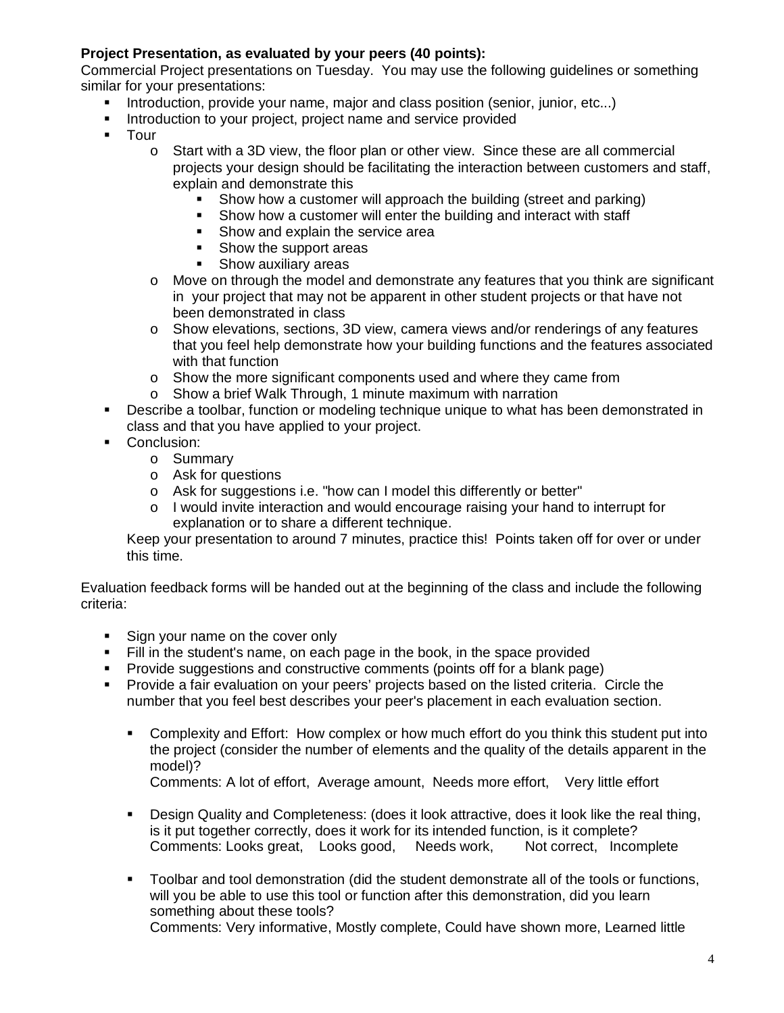## **Project Presentation, as evaluated by your peers (40 points):**

Commercial Project presentations on Tuesday. You may use the following guidelines or something similar for your presentations:

- Introduction, provide your name, major and class position (senior, junior, etc...)
- Introduction to your project, project name and service provided
- **-** Tour
	- $\circ$  Start with a 3D view, the floor plan or other view. Since these are all commercial projects your design should be facilitating the interaction between customers and staff, explain and demonstrate this
		- Show how a customer will approach the building (street and parking)
		- Show how a customer will enter the building and interact with staff
		- Show and explain the service area
		- Show the support areas
		- **Show auxiliary areas**
	- o Move on through the model and demonstrate any features that you think are significant in your project that may not be apparent in other student projects or that have not been demonstrated in class
	- o Show elevations, sections, 3D view, camera views and/or renderings of any features that you feel help demonstrate how your building functions and the features associated with that function
	- $\circ$  Show the more significant components used and where they came from
	- o Show a brief Walk Through, 1 minute maximum with narration
- Describe a toolbar, function or modeling technique unique to what has been demonstrated in class and that you have applied to your project.
- Conclusion:
	- o Summary
	- o Ask for questions
	- o Ask for suggestions i.e. "how can I model this differently or better"
	- $\circ$  I would invite interaction and would encourage raising your hand to interrupt for explanation or to share a different technique.

Keep your presentation to around 7 minutes, practice this! Points taken off for over or under this time.

Evaluation feedback forms will be handed out at the beginning of the class and include the following criteria:

- Sign your name on the cover only
- Fill in the student's name, on each page in the book, in the space provided
- Provide suggestions and constructive comments (points off for a blank page)
- Provide a fair evaluation on your peers' projects based on the listed criteria. Circle the number that you feel best describes your peer's placement in each evaluation section.
	- Complexity and Effort: How complex or how much effort do you think this student put into the project (consider the number of elements and the quality of the details apparent in the model)?
		- Comments: A lot of effort, Average amount, Needs more effort, Very little effort
	- Design Quality and Completeness: (does it look attractive, does it look like the real thing, is it put together correctly, does it work for its intended function, is it complete? Comments: Looks great, Looks good, Needs work, Not correct, Incomplete
	- **Toolbar and tool demonstration (did the student demonstrate all of the tools or functions,** will you be able to use this tool or function after this demonstration, did you learn something about these tools? Comments: Very informative, Mostly complete, Could have shown more, Learned little